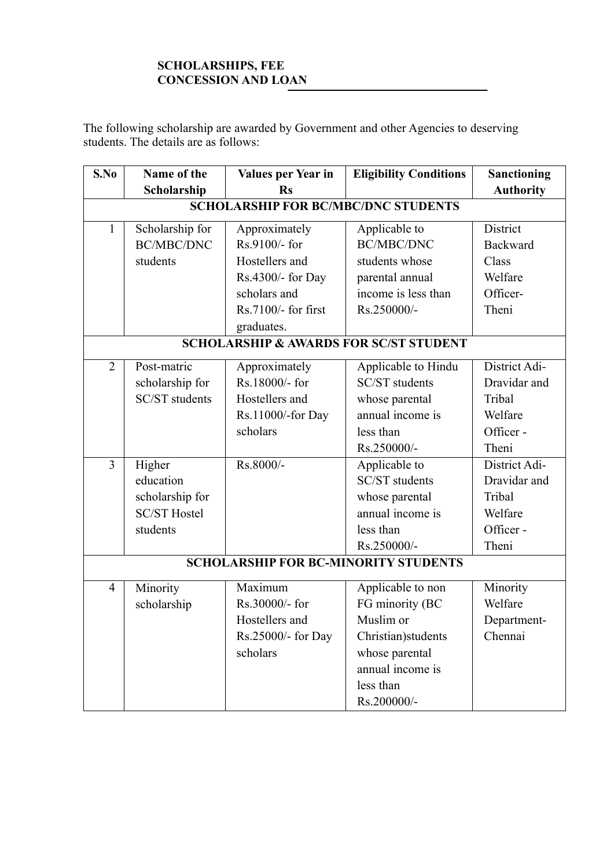## **SCHOLARSHIPS, FEE CONCESSION AND LOAN**

The following scholarship are awarded by Government and other Agencies to deserving students. The details are as follows:

| S.No                                              | Name of the           | Values per Year in  | <b>Eligibility Conditions</b> | <b>Sanctioning</b> |  |  |  |
|---------------------------------------------------|-----------------------|---------------------|-------------------------------|--------------------|--|--|--|
|                                                   | Scholarship           | <b>Rs</b>           |                               | <b>Authority</b>   |  |  |  |
| <b>SCHOLARSHIP FOR BC/MBC/DNC STUDENTS</b>        |                       |                     |                               |                    |  |  |  |
| $\mathbf{1}$                                      | Scholarship for       | Approximately       | Applicable to                 | District           |  |  |  |
|                                                   | <b>BC/MBC/DNC</b>     | Rs.9100/- for       | <b>BC/MBC/DNC</b>             | Backward           |  |  |  |
|                                                   | students              | Hostellers and      | students whose                | Class              |  |  |  |
|                                                   |                       | Rs.4300/- for Day   | parental annual               | Welfare            |  |  |  |
|                                                   |                       | scholars and        | income is less than           | Officer-           |  |  |  |
|                                                   |                       | Rs.7100/- for first | Rs.250000/-                   | Theni              |  |  |  |
|                                                   |                       | graduates.          |                               |                    |  |  |  |
| <b>SCHOLARSHIP &amp; AWARDS FOR SC/ST STUDENT</b> |                       |                     |                               |                    |  |  |  |
| $\overline{2}$                                    | Post-matric           | Approximately       | Applicable to Hindu           | District Adi-      |  |  |  |
|                                                   | scholarship for       | Rs.18000/- for      | SC/ST students                | Dravidar and       |  |  |  |
|                                                   | <b>SC/ST</b> students | Hostellers and      | whose parental                | Tribal             |  |  |  |
|                                                   |                       | Rs.11000/-for Day   | annual income is              | Welfare            |  |  |  |
|                                                   |                       | scholars            | less than                     | Officer-           |  |  |  |
|                                                   |                       |                     | Rs.250000/-                   | Theni              |  |  |  |
| 3                                                 | Higher                | Rs.8000/-           | Applicable to                 | District Adi-      |  |  |  |
|                                                   | education             |                     | <b>SC/ST</b> students         | Dravidar and       |  |  |  |
|                                                   | scholarship for       |                     | whose parental                | Tribal             |  |  |  |
|                                                   | <b>SC/ST Hostel</b>   |                     | annual income is              | Welfare            |  |  |  |
|                                                   | students              |                     | less than                     | Officer-           |  |  |  |
|                                                   |                       |                     | Rs.250000/-                   | Theni              |  |  |  |
| <b>SCHOLARSHIP FOR BC-MINORITY STUDENTS</b>       |                       |                     |                               |                    |  |  |  |
| $\overline{4}$                                    | Minority              | Maximum             | Applicable to non             | Minority           |  |  |  |
|                                                   | scholarship           | Rs.30000/- for      | FG minority (BC               | Welfare            |  |  |  |
|                                                   |                       | Hostellers and      | Muslim or                     | Department-        |  |  |  |
|                                                   |                       | Rs.25000/- for Day  | Christian) students           | Chennai            |  |  |  |
|                                                   |                       | scholars            | whose parental                |                    |  |  |  |
|                                                   |                       |                     | annual income is              |                    |  |  |  |
|                                                   |                       |                     | less than                     |                    |  |  |  |
|                                                   |                       |                     | Rs.200000/-                   |                    |  |  |  |